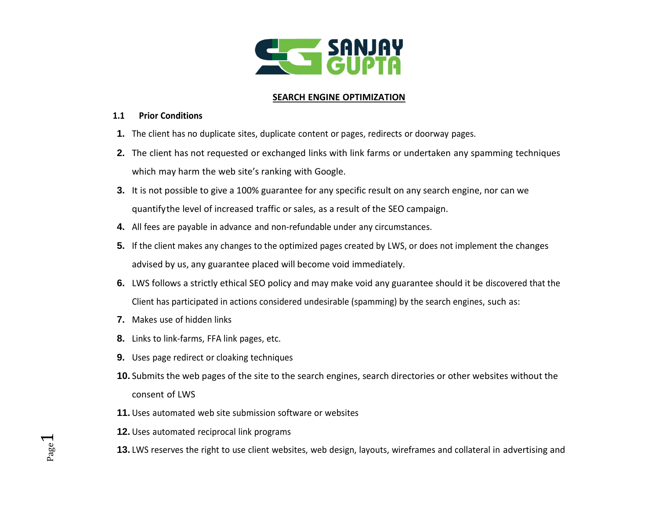

### **SEARCH ENGINE OPTIMIZATION**

### **1.1 Prior Conditions**

- **1.** The client has no duplicate sites, duplicate content or pages, redirects or doorway pages.
- **2.** The client has not requested or exchanged links with link farms or undertaken any spamming techniques which may harm the web site's ranking with Google.
- **3.** It is not possible to give a 100% guarantee for any specific result on any search engine, nor can we quantifythe level of increased traffic or sales, as a result of the SEO campaign.
- **4.** All fees are payable in advance and non-refundable under any circumstances.
- **5.** If the client makes any changes to the optimized pages created by LWS, or does not implement the changes advised by us, any guarantee placed will become void immediately.
- **6.** LWS follows a strictly ethical SEO policy and may make void any guarantee should it be discovered that the Client has participated in actions considered undesirable (spamming) by the search engines, such as:
- **7.** Makes use of hidden links
- **8.** Links to link-farms, FFA link pages, etc.
- **9.** Uses page redirect or cloaking techniques
- **10.** Submits the web pages of the site to the search engines, search directories or other websites without the consent of LWS
- **11.** Uses automated web site submission software or websites
- **12.** Uses automated reciprocal link programs
- **13.** LWS reserves the right to use client websites, web design, layouts, wireframes and collateral in advertising and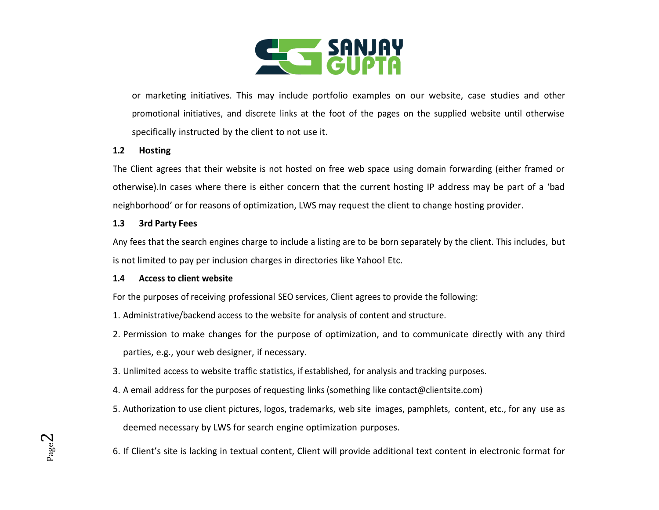

or marketing initiatives. This may include portfolio examples on our website, case studies and other promotional initiatives, and discrete links at the foot of the pages on the supplied website until otherwise specifically instructed by the client to not use it.

#### **1.2 Hosting**

The Client agrees that their website is not hosted on free web space using domain forwarding (either framed or otherwise).In cases where there is either concern that the current hosting IP address may be part of a 'bad neighborhood' or for reasons of optimization, LWS may request the client to change hosting provider.

#### **1.3 3rd Party Fees**

Any fees that the search engines charge to include a listing are to be born separately by the client. This includes, but is not limited to pay per inclusion charges in directories like Yahoo! Etc.

#### **1.4 Access to client website**

For the purposes of receiving professional SEO services, Client agrees to provide the following:

- 1. Administrative/backend access to the website for analysis of content and structure.
- 2. Permission to make changes for the purpose of optimization, and to communicate directly with any third parties, e.g., your web designer, if necessary.
- 3. Unlimited access to website traffic statistics, if established, for analysis and tracking purposes.
- 4. A email address for the purposes of requesting links (something like contact@clientsite.com)
- 5. Authorization to use client pictures, logos, trademarks, web site images, pamphlets, content, etc., for any use as deemed necessary by LWS for search engine optimization purposes.
- 6. If Client's site is lacking in textual content, Client will provide additional text content in electronic format for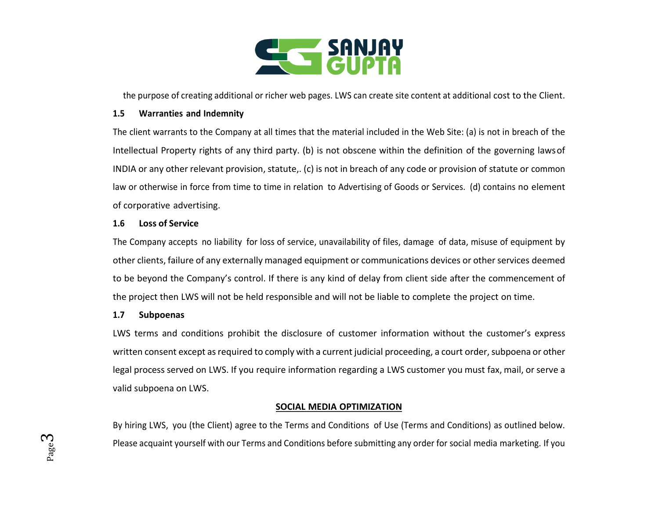

the purpose of creating additional or richer web pages. LWS can create site content at additional cost to the Client.

#### **1.5 Warranties and Indemnity**

The client warrants to the Company at all times that the material included in the Web Site: (a) is not in breach of the Intellectual Property rights of any third party. (b) is not obscene within the definition of the governing lawsof INDIA or any other relevant provision, statute,. (c) is not in breach of any code or provision of statute or common law or otherwise in force from time to time in relation to Advertising of Goods or Services. (d) contains no element of corporative advertising.

#### **1.6 Loss of Service**

The Company accepts no liability for loss of service, unavailability of files, damage of data, misuse of equipment by other clients, failure of any externally managed equipment or communications devices or other services deemed to be beyond the Company's control. If there is any kind of delay from client side after the commencement of the project then LWS will not be held responsible and will not be liable to complete the project on time.

#### **1.7 Subpoenas**

LWS terms and conditions prohibit the disclosure of customer information without the customer's express written consent except as required to comply with a current judicial proceeding, a court order, subpoena or other legal process served on LWS. If you require information regarding a LWS customer you must fax, mail, or serve a valid subpoena on LWS.

### **SOCIAL MEDIA OPTIMIZATION**

By hiring LWS, you (the Client) agree to the Terms and Conditions of Use (Terms and Conditions) as outlined below. Please acquaint yourself with our Terms and Conditions before submitting any order for social media marketing. If you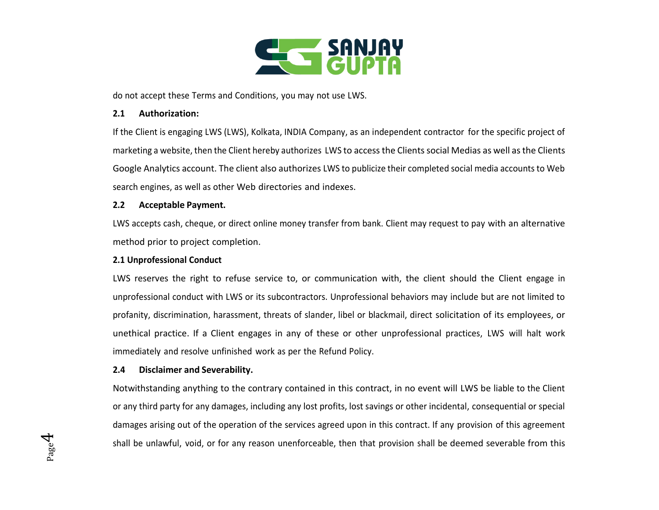

do not accept these Terms and Conditions, you may not use LWS.

#### **2.1 Authorization:**

If the Client is engaging LWS (LWS), Kolkata, INDIA Company, as an independent contractor for the specific project of marketing a website, then the Client hereby authorizes LWS to access the Clients social Medias as well as the Clients Google Analytics account. The client also authorizes LWS to publicize their completed social media accounts to Web search engines, as well as other Web directories and indexes.

### **2.2 Acceptable Payment.**

LWS accepts cash, cheque, or direct online money transfer from bank. Client may request to pay with an alternative method prior to project completion.

### **2.1 Unprofessional Conduct**

LWS reserves the right to refuse service to, or communication with, the client should the Client engage in unprofessional conduct with LWS or its subcontractors. Unprofessional behaviors may include but are not limited to profanity, discrimination, harassment, threats of slander, libel or blackmail, direct solicitation of its employees, or unethical practice. If a Client engages in any of these or other unprofessional practices, LWS will halt work immediately and resolve unfinished work as per the Refund Policy.

### **2.4 Disclaimer and Severability.**

Notwithstanding anything to the contrary contained in this contract, in no event will LWS be liable to the Client or any third party for any damages, including any lost profits, lost savings or other incidental, consequential or special damages arising out of the operation of the services agreed upon in this contract. If any provision of this agreement shall be unlawful, void, or for any reason unenforceable, then that provision shall be deemed severable from this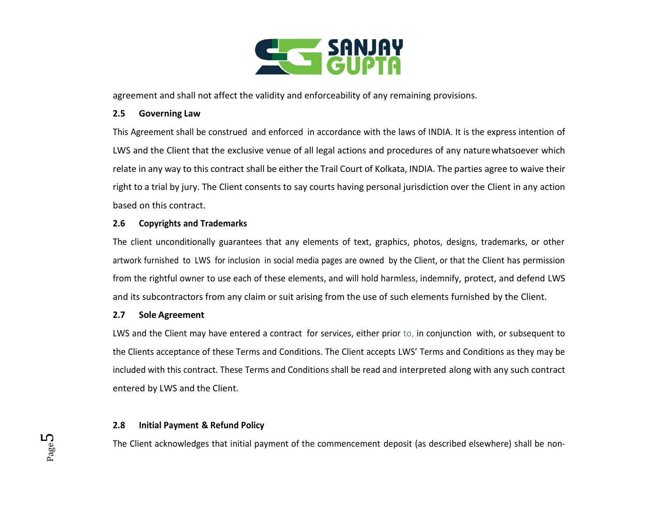

agreement and shall not affect the validity and enforceability of any remaining provisions.

#### **2.5 Governing Law**

This Agreement shall be construed and enforced in accordance with the laws of INDIA. It is the express intention of LWS and the Client that the exclusive venue of all legal actions and procedures of any naturewhatsoever which relate in any way to this contract shall be either the Trail Court of Kolkata, INDIA. The parties agree to waive their right to a trial by jury. The Client consents to say courts having personal jurisdiction over the Client in any action based on this contract.

## **2.6 Copyrights and Trademarks**

The client unconditionally guarantees that any elements of text, graphics, photos, designs, trademarks, or other artwork furnished to LWS for inclusion in social media pages are owned by the Client, or that the Client has permission from the rightful owner to use each of these elements, and will hold harmless, indemnify, protect, and defend LWS and its subcontractors from any claim or suit arising from the use of such elements furnished by the Client.

### **2.7 Sole Agreement**

LWS and the Client may have entered a contract for services, either prior to, in conjunction with, or subsequent to the Clients acceptance of these Terms and Conditions. The Client accepts LWS' Terms and Conditions as they may be included with this contract. These Terms and Conditions shall be read and interpreted along with any such contract entered by LWS and the Client.

## **2.8 Initial Payment & Refund Policy**

The Client acknowledges that initial payment of the commencement deposit (as described elsewhere) shall be non-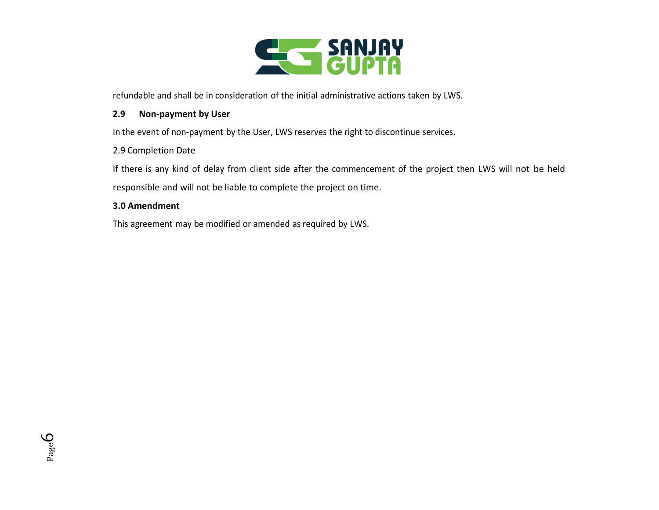

refundable and shall be in consideration of the initial administrative actions taken by LWS.

#### **2.9 Non-payment by User**

In the event of non-payment by the User, LWS reserves the right to discontinue services.

### 2.9 Completion Date

If there is any kind of delay from client side after the commencement of the project then LWS will not be held responsible and will not be liable to complete the project on time.

### **3.0 Amendment**

This agreement may be modified or amended as required by LWS.

Page 6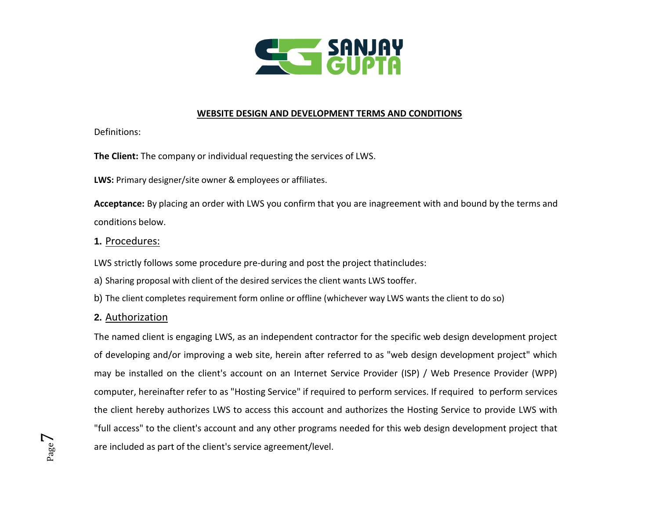

### **WEBSITE DESIGN AND DEVELOPMENT TERMS AND CONDITIONS**

Definitions:

**The Client:** The company or individual requesting the services of LWS.

**LWS:** Primary designer/site owner & employees or affiliates.

**Acceptance:** By placing an order with LWS you confirm that you are inagreement with and bound by the terms and conditions below.

# **1.** Procedures:

LWS strictly follows some procedure pre-during and post the project thatincludes:

- a) Sharing proposal with client of the desired services the client wants LWS tooffer.
- b) The client completes requirement form online or offline (whichever way LWS wants the client to do so)

# **2.** Authorization

The named client is engaging LWS, as an independent contractor for the specific web design development project of developing and/or improving a web site, herein after referred to as "web design development project" which may be installed on the client's account on an Internet Service Provider (ISP) / Web Presence Provider (WPP) computer, hereinafter refer to as "Hosting Service" if required to perform services. If required to perform services the client hereby authorizes LWS to access this account and authorizes the Hosting Service to provide LWS with "full access" to the client's account and any other programs needed for this web design development project that are included as part of the client's service agreement/level.

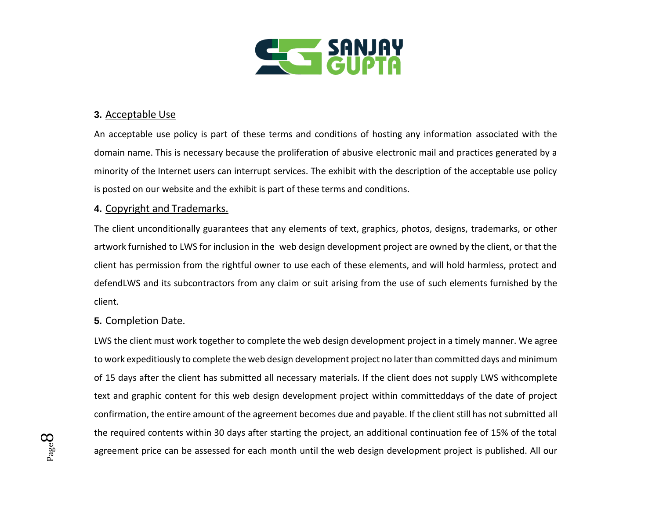

## **3.** Acceptable Use

An acceptable use policy is part of these terms and conditions of hosting any information associated with the domain name. This is necessary because the proliferation of abusive electronic mail and practices generated by a minority of the Internet users can interrupt services. The exhibit with the description of the acceptable use policy is posted on our website and the exhibit is part of these terms and conditions.

## **4.** Copyright and Trademarks.

The client unconditionally guarantees that any elements of text, graphics, photos, designs, trademarks, or other artwork furnished to LWS for inclusion in the web design development project are owned by the client, or that the client has permission from the rightful owner to use each of these elements, and will hold harmless, protect and defendLWS and its subcontractors from any claim or suit arising from the use of such elements furnished by the client.

## **5.** Completion Date.

LWS the client must work together to complete the web design development project in a timely manner. We agree to work expeditiously to complete the web design development project no later than committed days and minimum of 15 days after the client has submitted all necessary materials. If the client does not supply LWS withcomplete text and graphic content for this web design development project within committeddays of the date of project confirmation, the entire amount of the agreement becomes due and payable. If the client still has not submitted all the required contents within 30 days after starting the project, an additional continuation fee of 15% of the total agreement price can be assessed for each month until the web design development project is published. All our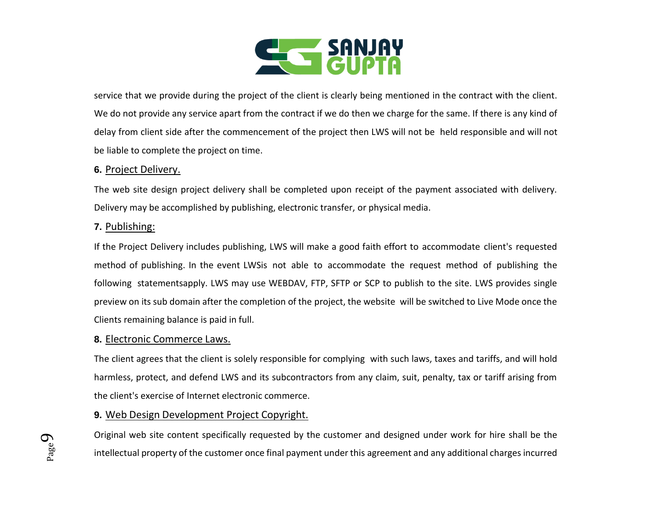

service that we provide during the project of the client is clearly being mentioned in the contract with the client. We do not provide any service apart from the contract if we do then we charge for the same. If there is any kind of delay from client side after the commencement of the project then LWS will not be held responsible and will not be liable to complete the project on time.

### **6.** Project Delivery.

The web site design project delivery shall be completed upon receipt of the payment associated with delivery. Delivery may be accomplished by publishing, electronic transfer, or physical media.

## **7.** Publishing:

If the Project Delivery includes publishing, LWS will make a good faith effort to accommodate client's requested method of publishing. In the event LWSis not able to accommodate the request method of publishing the following statementsapply. LWS may use WEBDAV, FTP, SFTP or SCP to publish to the site. LWS provides single preview on its sub domain after the completion of the project, the website will be switched to Live Mode once the Clients remaining balance is paid in full.

## **8.** Electronic Commerce Laws.

The client agrees that the client is solely responsible for complying with such laws, taxes and tariffs, and will hold harmless, protect, and defend LWS and its subcontractors from any claim, suit, penalty, tax or tariff arising from the client's exercise of Internet electronic commerce.

# **9.** Web Design Development Project Copyright.

Original web site content specifically requested by the customer and designed under work for hire shall be the intellectual property of the customer once final payment under this agreement and any additional charges incurred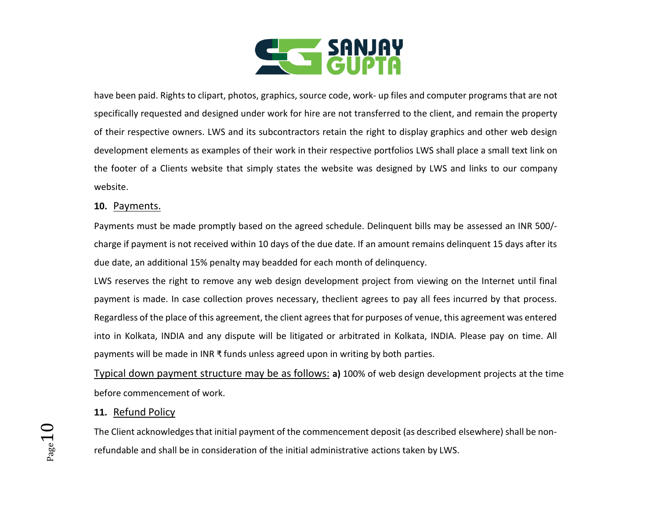

have been paid. Rights to clipart, photos, graphics, source code, work- up files and computer programs that are not specifically requested and designed under work for hire are not transferred to the client, and remain the property of their respective owners. LWS and its subcontractors retain the right to display graphics and other web design development elements as examples of their work in their respective portfolios LWS shall place a small text link on the footer of a Clients website that simply states the website was designed by LWS and links to our company website.

### **10.** Payments.

Payments must be made promptly based on the agreed schedule. Delinquent bills may be assessed an INR 500/ charge if payment is not received within 10 days of the due date. If an amount remains delinquent 15 days after its due date, an additional 15% penalty may beadded for each month of delinquency.

LWS reserves the right to remove any web design development project from viewing on the Internet until final payment is made. In case collection proves necessary, theclient agrees to pay all fees incurred by that process. Regardless of the place of this agreement, the client agrees that for purposes of venue, this agreement was entered into in Kolkata, INDIA and any dispute will be litigated or arbitrated in Kolkata, INDIA. Please pay on time. All payments will be made in INR ₹ funds unless agreed upon in writing by both parties.

Typical down payment structure may be as follows: **a)** 100% of web design development projects at the time before commencement of work.

### **11.** Refund Policy

The Client acknowledges that initial payment of the commencement deposit (as described elsewhere) shall be nonrefundable and shall be in consideration of the initial administrative actions taken by LWS.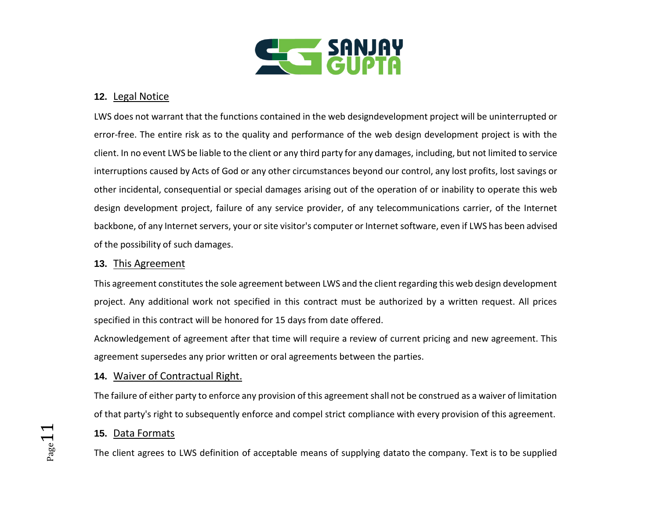

# **12.** Legal Notice

LWS does not warrant that the functions contained in the web designdevelopment project will be uninterrupted or error-free. The entire risk as to the quality and performance of the web design development project is with the client. In no event LWS be liable to the client or any third party for any damages, including, but not limited to service interruptions caused by Acts of God or any other circumstances beyond our control, any lost profits, lost savings or other incidental, consequential or special damages arising out of the operation of or inability to operate this web design development project, failure of any service provider, of any telecommunications carrier, of the Internet backbone, of any Internet servers, your or site visitor's computer or Internet software, even if LWS has been advised of the possibility of such damages.

### **13.** This Agreement

This agreement constitutes the sole agreement between LWS and the client regarding this web design development project. Any additional work not specified in this contract must be authorized by a written request. All prices specified in this contract will be honored for 15 days from date offered.

Acknowledgement of agreement after that time will require a review of current pricing and new agreement. This agreement supersedes any prior written or oral agreements between the parties.

## **14.** Waiver of Contractual Right.

The failure of either party to enforce any provision of this agreement shall not be construed as a waiver of limitation of that party's right to subsequently enforce and compel strict compliance with every provision of this agreement.

## **15.** Data Formats

The client agrees to LWS definition of acceptable means of supplying datato the company. Text is to be supplied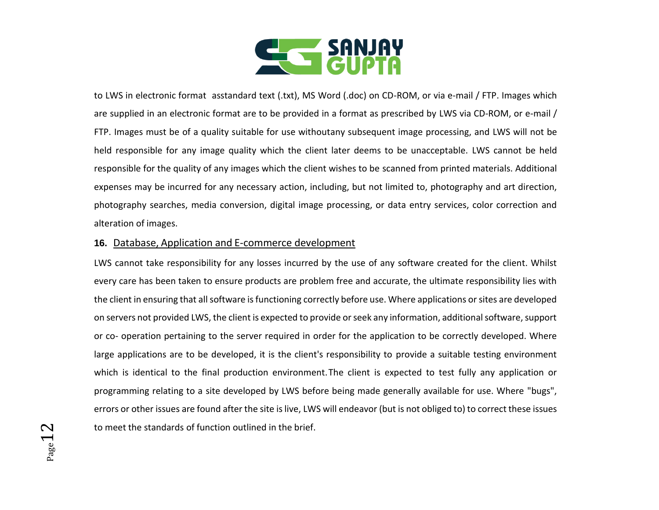

to LWS in electronic format asstandard text (.txt), MS Word (.doc) on CD-ROM, or via e-mail / FTP. Images which are supplied in an electronic format are to be provided in a format as prescribed by LWS via CD-ROM, or e-mail / FTP. Images must be of a quality suitable for use withoutany subsequent image processing, and LWS will not be held responsible for any image quality which the client later deems to be unacceptable. LWS cannot be held responsible for the quality of any images which the client wishes to be scanned from printed materials. Additional expenses may be incurred for any necessary action, including, but not limited to, photography and art direction, photography searches, media conversion, digital image processing, or data entry services, color correction and alteration of images.

## **16.** Database, Application and E-commerce development

LWS cannot take responsibility for any losses incurred by the use of any software created for the client. Whilst every care has been taken to ensure products are problem free and accurate, the ultimate responsibility lies with the client in ensuring that all software is functioning correctly before use. Where applications or sites are developed on servers not provided LWS, the client is expected to provide or seek any information, additional software, support or co- operation pertaining to the server required in order for the application to be correctly developed. Where large applications are to be developed, it is the client's responsibility to provide a suitable testing environment which is identical to the final production environment.The client is expected to test fully any application or programming relating to a site developed by LWS before being made generally available for use. Where "bugs", errors or other issues are found after the site is live, LWS will endeavor (but is not obliged to) to correct these issues to meet the standards of function outlined in the brief.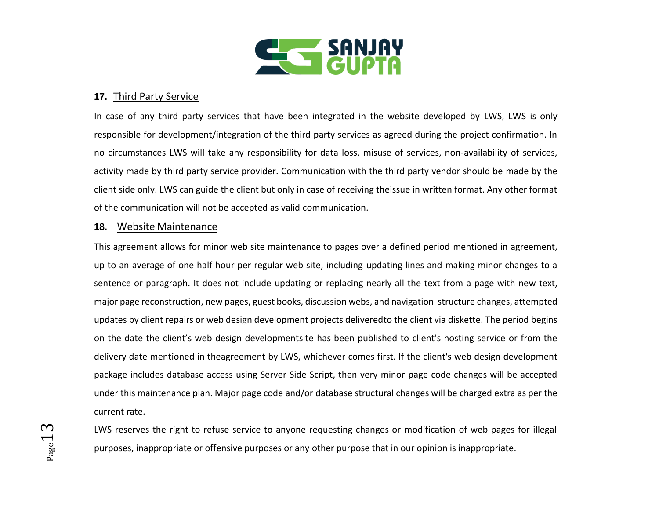

# **17.** Third Party Service

In case of any third party services that have been integrated in the website developed by LWS, LWS is only responsible for development/integration of the third party services as agreed during the project confirmation. In no circumstances LWS will take any responsibility for data loss, misuse of services, non-availability of services, activity made by third party service provider. Communication with the third party vendor should be made by the client side only. LWS can guide the client but only in case of receiving theissue in written format. Any other format of the communication will not be accepted as valid communication.

### **18.** Website Maintenance

This agreement allows for minor web site maintenance to pages over a defined period mentioned in agreement, up to an average of one half hour per regular web site, including updating lines and making minor changes to a sentence or paragraph. It does not include updating or replacing nearly all the text from a page with new text, major page reconstruction, new pages, guest books, discussion webs, and navigation structure changes, attempted updates by client repairs or web design development projects deliveredto the client via diskette. The period begins on the date the client's web design developmentsite has been published to client's hosting service or from the delivery date mentioned in theagreement by LWS, whichever comes first. If the client's web design development package includes database access using Server Side Script, then very minor page code changes will be accepted under this maintenance plan. Major page code and/or database structural changes will be charged extra as per the current rate.

LWS reserves the right to refuse service to anyone requesting changes or modification of web pages for illegal purposes, inappropriate or offensive purposes or any other purpose that in our opinion is inappropriate.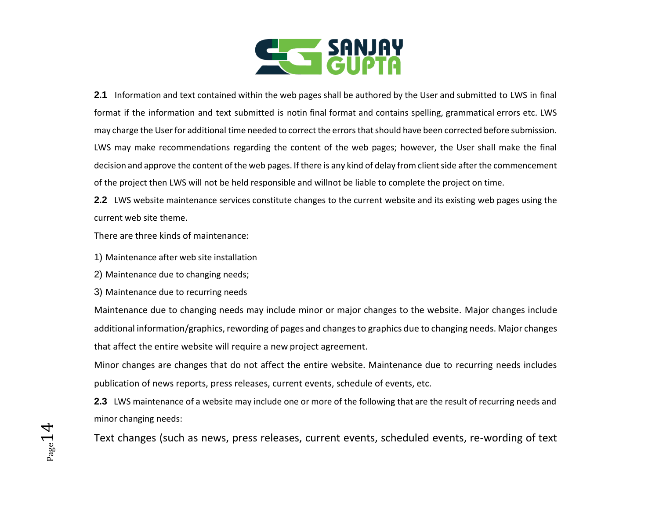

**2.1** Information and text contained within the web pages shall be authored by the User and submitted to LWS in final format if the information and text submitted is notin final format and contains spelling, grammatical errors etc. LWS may charge the User for additional time needed to correct the errors that should have been corrected before submission. LWS may make recommendations regarding the content of the web pages; however, the User shall make the final decision and approve the content of the web pages. If there is any kind of delay from client side afterthe commencement of the project then LWS will not be held responsible and willnot be liable to complete the project on time.

**2.2** LWS website maintenance services constitute changes to the current website and its existing web pages using the current web site theme.

There are three kinds of maintenance:

- 1) Maintenance after web site installation
- 2) Maintenance due to changing needs;
- 3) Maintenance due to recurring needs

Maintenance due to changing needs may include minor or major changes to the website. Major changes include additional information/graphics, rewording of pages and changes to graphics due to changing needs. Major changes that affect the entire website will require a new project agreement.

Minor changes are changes that do not affect the entire website. Maintenance due to recurring needs includes publication of news reports, press releases, current events, schedule of events, etc.

**2.3** LWS maintenance of a website may include one or more of the following that are the result of recurring needs and minor changing needs:

Text changes (such as news, press releases, current events, scheduled events, re-wording of text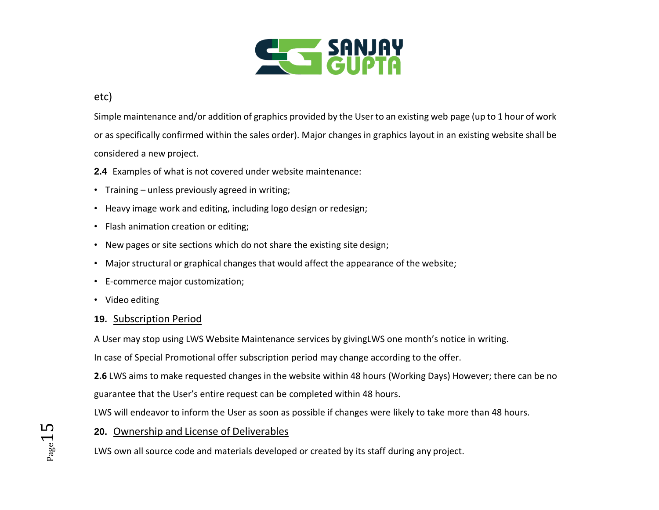

# etc)

Simple maintenance and/or addition of graphics provided by the User to an existing web page (up to 1 hour of work or as specifically confirmed within the sales order). Major changes in graphics layout in an existing website shall be considered a new project.

- **2.4** Examples of what is not covered under website maintenance:
- Training unless previously agreed in writing;
- Heavy image work and editing, including logo design or redesign;
- Flash animation creation or editing;
- New pages or site sections which do not share the existing site design;
- Major structural or graphical changes that would affect the appearance of the website;
- E-commerce major customization;
- Video editing

## **19.** Subscription Period

A User may stop using LWS Website Maintenance services by givingLWS one month's notice in writing.

In case of Special Promotional offer subscription period may change according to the offer.

**2.6** LWS aims to make requested changes in the website within 48 hours (Working Days) However; there can be no guarantee that the User's entire request can be completed within 48 hours.

LWS will endeavor to inform the User as soon as possible if changes were likely to take more than 48 hours.

## **20.** Ownership and License of Deliverables

LWS own all source code and materials developed or created by its staff during any project.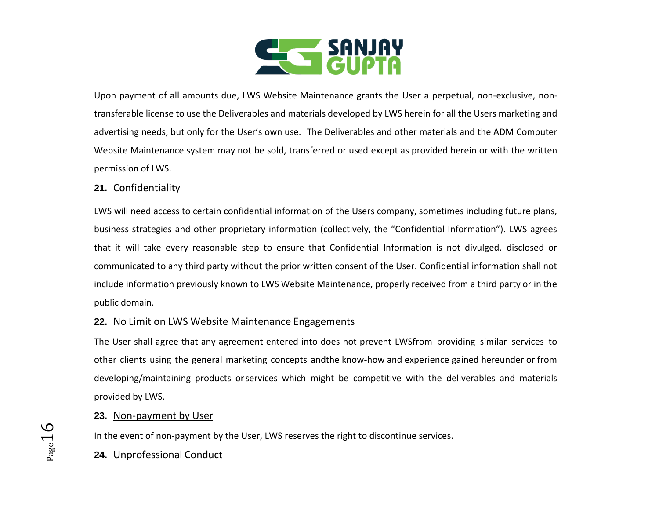

Upon payment of all amounts due, LWS Website Maintenance grants the User a perpetual, non-exclusive, nontransferable license to use the Deliverables and materials developed by LWS herein for all the Users marketing and advertising needs, but only for the User's own use. The Deliverables and other materials and the ADM Computer Website Maintenance system may not be sold, transferred or used except as provided herein or with the written permission of LWS.

# **21.** Confidentiality

LWS will need access to certain confidential information of the Users company, sometimes including future plans, business strategies and other proprietary information (collectively, the "Confidential Information"). LWS agrees that it will take every reasonable step to ensure that Confidential Information is not divulged, disclosed or communicated to any third party without the prior written consent of the User. Confidential information shall not include information previously known to LWS Website Maintenance, properly received from a third party or in the public domain.

## **22.** No Limit on LWS Website Maintenance Engagements

The User shall agree that any agreement entered into does not prevent LWSfrom providing similar services to other clients using the general marketing concepts andthe know-how and experience gained hereunder or from developing/maintaining products orservices which might be competitive with the deliverables and materials provided by LWS.

## **23.** Non-payment by User

In the event of non-payment by the User, LWS reserves the right to discontinue services.

# **24.** Unprofessional Conduct